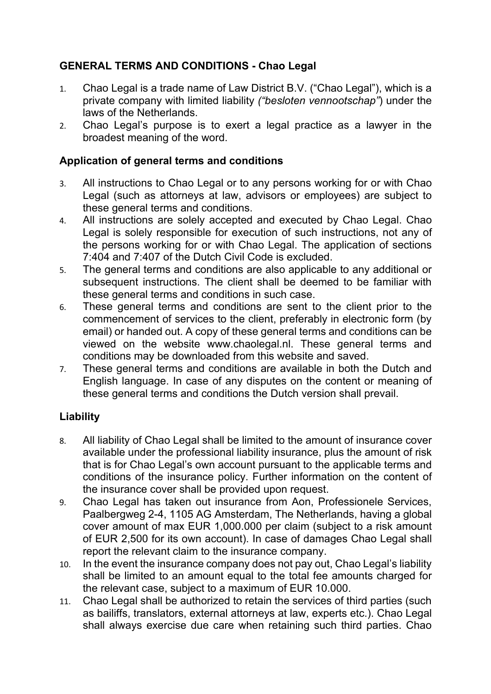# **GENERAL TERMS AND CONDITIONS - Chao Legal**

- 1. Chao Legal is a trade name of Law District B.V. ("Chao Legal"), which is a private company with limited liability *("besloten vennootschap"*) under the laws of the Netherlands.
- 2. Chao Legal's purpose is to exert a legal practice as a lawyer in the broadest meaning of the word.

## **Application of general terms and conditions**

- 3. All instructions to Chao Legal or to any persons working for or with Chao Legal (such as attorneys at law, advisors or employees) are subject to these general terms and conditions.
- 4. All instructions are solely accepted and executed by Chao Legal. Chao Legal is solely responsible for execution of such instructions, not any of the persons working for or with Chao Legal. The application of sections 7:404 and 7:407 of the Dutch Civil Code is excluded.
- 5. The general terms and conditions are also applicable to any additional or subsequent instructions. The client shall be deemed to be familiar with these general terms and conditions in such case.
- 6. These general terms and conditions are sent to the client prior to the commencement of services to the client, preferably in electronic form (by email) or handed out. A copy of these general terms and conditions can be viewed on the website www.chaolegal.nl. These general terms and conditions may be downloaded from this website and saved.
- 7. These general terms and conditions are available in both the Dutch and English language. In case of any disputes on the content or meaning of these general terms and conditions the Dutch version shall prevail.

## **Liability**

- 8. All liability of Chao Legal shall be limited to the amount of insurance cover available under the professional liability insurance, plus the amount of risk that is for Chao Legal's own account pursuant to the applicable terms and conditions of the insurance policy. Further information on the content of the insurance cover shall be provided upon request.
- 9. Chao Legal has taken out insurance from Aon, Professionele Services, Paalbergweg 2-4, 1105 AG Amsterdam, The Netherlands, having a global cover amount of max EUR 1,000.000 per claim (subject to a risk amount of EUR 2,500 for its own account). In case of damages Chao Legal shall report the relevant claim to the insurance company.
- 10. In the event the insurance company does not pay out, Chao Legal's liability shall be limited to an amount equal to the total fee amounts charged for the relevant case, subject to a maximum of EUR 10.000.
- 11. Chao Legal shall be authorized to retain the services of third parties (such as bailiffs, translators, external attorneys at law, experts etc.). Chao Legal shall always exercise due care when retaining such third parties. Chao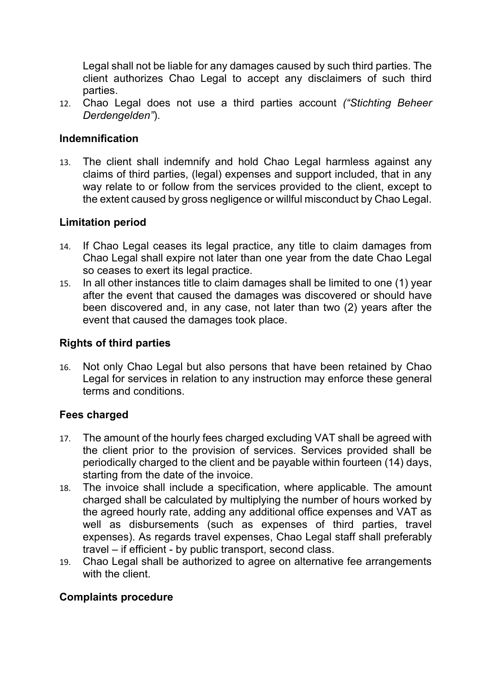Legal shall not be liable for any damages caused by such third parties. The client authorizes Chao Legal to accept any disclaimers of such third parties.

12. Chao Legal does not use a third parties account *("Stichting Beheer Derdengelden"*).

## **Indemnification**

13. The client shall indemnify and hold Chao Legal harmless against any claims of third parties, (legal) expenses and support included, that in any way relate to or follow from the services provided to the client, except to the extent caused by gross negligence or willful misconduct by Chao Legal.

### **Limitation period**

- 14. If Chao Legal ceases its legal practice, any title to claim damages from Chao Legal shall expire not later than one year from the date Chao Legal so ceases to exert its legal practice.
- 15. In all other instances title to claim damages shall be limited to one (1) year after the event that caused the damages was discovered or should have been discovered and, in any case, not later than two (2) years after the event that caused the damages took place.

## **Rights of third parties**

16. Not only Chao Legal but also persons that have been retained by Chao Legal for services in relation to any instruction may enforce these general terms and conditions.

### **Fees charged**

- 17. The amount of the hourly fees charged excluding VAT shall be agreed with the client prior to the provision of services. Services provided shall be periodically charged to the client and be payable within fourteen (14) days, starting from the date of the invoice.
- 18. The invoice shall include a specification, where applicable. The amount charged shall be calculated by multiplying the number of hours worked by the agreed hourly rate, adding any additional office expenses and VAT as well as disbursements (such as expenses of third parties, travel expenses). As regards travel expenses, Chao Legal staff shall preferably travel – if efficient - by public transport, second class.
- 19. Chao Legal shall be authorized to agree on alternative fee arrangements with the client.

### **Complaints procedure**